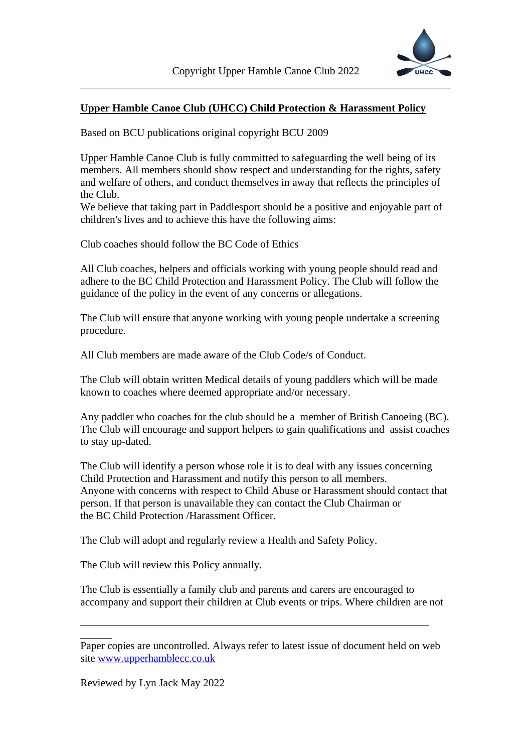

## **Upper Hamble Canoe Club (UHCC) Child Protection & Harassment Policy**

Based on BCU publications original copyright BCU 2009

Upper Hamble Canoe Club is fully committed to safeguarding the well being of its members. All members should show respect and understanding for the rights, safety and welfare of others, and conduct themselves in away that reflects the principles of the Club.

We believe that taking part in Paddlesport should be a positive and enjoyable part of children's lives and to achieve this have the following aims:

Club coaches should follow the BC Code of Ethics

All Club coaches, helpers and officials working with young people should read and adhere to the BC Child Protection and Harassment Policy. The Club will follow the guidance of the policy in the event of any concerns or allegations.

The Club will ensure that anyone working with young people undertake a screening procedure.

All Club members are made aware of the Club Code/s of Conduct.

The Club will obtain written Medical details of young paddlers which will be made known to coaches where deemed appropriate and/or necessary.

Any paddler who coaches for the club should be a member of British Canoeing (BC). The Club will encourage and support helpers to gain qualifications and assist coaches to stay up-dated.

The Club will identify a person whose role it is to deal with any issues concerning Child Protection and Harassment and notify this person to all members. Anyone with concerns with respect to Child Abuse or Harassment should contact that person. If that person is unavailable they can contact the Club Chairman or the BC Child Protection /Harassment Officer.

The Club will adopt and regularly review a Health and Safety Policy.

The Club will review this Policy annually.

The Club is essentially a family club and parents and carers are encouraged to accompany and support their children at Club events or trips. Where children are not

Reviewed by Lyn Jack May 2022

Paper copies are uncontrolled. Always refer to latest issue of document held on web site [www.upperhamblecc.co.uk](http://www.upperhamblecc.co.uk/)